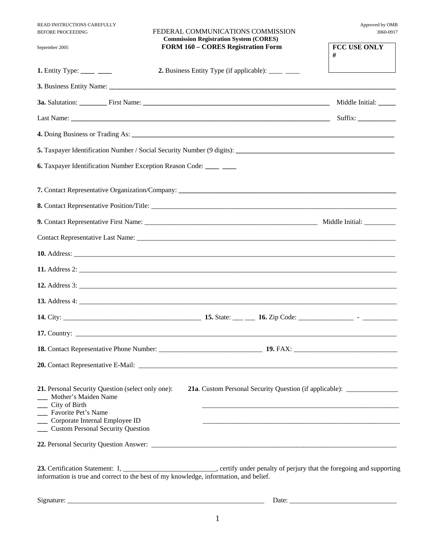| READ INSTRUCTIONS CAREFULLY<br><b>BEFORE PROCEEDING</b>                                                                                                                                                | FEDERAL COMMUNICATIONS COMMISSION<br><b>Commission Registration System (CORES)</b> | Approved by OMB<br>3060-0917                                                     |
|--------------------------------------------------------------------------------------------------------------------------------------------------------------------------------------------------------|------------------------------------------------------------------------------------|----------------------------------------------------------------------------------|
| September 2005                                                                                                                                                                                         | <b>FORM 160 - CORES Registration Form</b>                                          | <b>FCC USE ONLY</b><br>#                                                         |
| <b>1.</b> Entity Type: _____ ___                                                                                                                                                                       | <b>2.</b> Business Entity Type (if applicable): _____ ____                         |                                                                                  |
|                                                                                                                                                                                                        |                                                                                    |                                                                                  |
|                                                                                                                                                                                                        |                                                                                    |                                                                                  |
|                                                                                                                                                                                                        |                                                                                    |                                                                                  |
|                                                                                                                                                                                                        |                                                                                    |                                                                                  |
|                                                                                                                                                                                                        |                                                                                    |                                                                                  |
| <b>6.</b> Taxpayer Identification Number Exception Reason Code: _____ ____                                                                                                                             |                                                                                    |                                                                                  |
|                                                                                                                                                                                                        |                                                                                    |                                                                                  |
|                                                                                                                                                                                                        |                                                                                    |                                                                                  |
|                                                                                                                                                                                                        |                                                                                    |                                                                                  |
|                                                                                                                                                                                                        |                                                                                    |                                                                                  |
|                                                                                                                                                                                                        |                                                                                    |                                                                                  |
|                                                                                                                                                                                                        |                                                                                    |                                                                                  |
|                                                                                                                                                                                                        |                                                                                    |                                                                                  |
|                                                                                                                                                                                                        |                                                                                    |                                                                                  |
|                                                                                                                                                                                                        |                                                                                    |                                                                                  |
|                                                                                                                                                                                                        | 17. Country: $\qquad \qquad$                                                       |                                                                                  |
|                                                                                                                                                                                                        |                                                                                    |                                                                                  |
|                                                                                                                                                                                                        |                                                                                    |                                                                                  |
| 21. Personal Security Question (select only one):<br>Mother's Maiden Name<br>__ City of Birth<br>Favorite Pet's Name<br>___ Corporate Internal Employee ID<br><b>Custom Personal Security Question</b> |                                                                                    | 21a. Custom Personal Security Question (if applicable): ________________________ |
|                                                                                                                                                                                                        |                                                                                    |                                                                                  |

 $Signature:$   $\Box$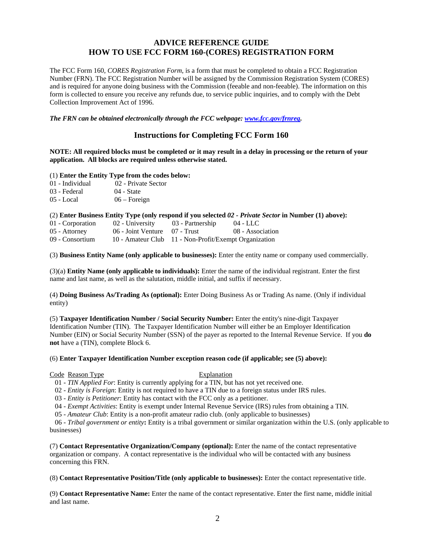# **ADVICE REFERENCE GUIDE HOW TO USE FCC FORM 160-(CORES) REGISTRATION FORM**

The FCC Form 160, *CORES Registration Form*, is a form that must be completed to obtain a FCC Registration Number (FRN). The FCC Registration Number will be assigned by the Commission Registration System (CORES) and is required for anyone doing business with the Commission (feeable and non-feeable). The information on this form is collected to ensure you receive any refunds due, to service public inquiries, and to comply with the Debt Collection Improvement Act of 1996.

*The FRN can be obtained electronically through the FCC webpage: www.fcc.gov/frnreg.* 

## **Instructions for Completing FCC Form 160**

**NOTE: All required blocks must be completed or it may result in a delay in processing or the return of your application. All blocks are required unless otherwise stated.** 

(1) **Enter the Entity Type from the codes below:** 

- 01 Individual 02 Private Sector
- 03 Federal 04 State
- 05 Local 06 Foreign

### (2) **Enter Business Entity Type (only respond if you selected** *02 - Private Sector* **in Number (1) above):**

| 01 - Corporation | 02 - University                   | 03 - Partnership                                      | 04 - LLC         |
|------------------|-----------------------------------|-------------------------------------------------------|------------------|
| 05 - Attorney    | $06$ - Joint Venture $07$ - Trust |                                                       | 08 - Association |
| 09 - Consortium  |                                   | 10 - Amateur Club 11 - Non-Profit/Exempt Organization |                  |

(3) **Business Entity Name (only applicable to businesses):** Enter the entity name or company used commercially.

(3)(a) **Entity Name (only applicable to individuals):** Enter the name of the individual registrant. Enter the first name and last name, as well as the salutation, middle initial, and suffix if necessary.

(4) **Doing Business As/Trading As (optional):** Enter Doing Business As or Trading As name. (Only if individual entity)

(5) **Taxpayer Identification Number / Social Security Number:** Enter the entity's nine-digit Taxpayer Identification Number (TIN). The Taxpayer Identification Number will either be an Employer Identification Number (EIN) or Social Security Number (SSN) of the payer as reported to the Internal Revenue Service. If you **do not** have a (TIN), complete Block 6.

#### (6) **Enter Taxpayer Identification Number exception reason code (if applicable; see (5) above):**

#### Code Reason Type Explanation

01 - *TIN Applied For*: Entity is currently applying for a TIN, but has not yet received one.

02 - *Entity is Foreign*: Entity is not required to have a TIN due to a foreign status under IRS rules.

03 - *Entity is Petitioner*: Entity has contact with the FCC only as a petitioner.

04 - *Exempt Activities*: Entity is exempt under Internal Revenue Service (IRS) rules from obtaining a TIN.

05 - *Amateur Club*: Entity is a non-profit amateur radio club. (only applicable to businesses)

 06 - *Tribal government or entity***:** Entity is a tribal government or similar organization within the U.S. (only applicable to businesses)

(7) **Contact Representative Organization/Company (optional):** Enter the name of the contact representative organization or company. A contact representative is the individual who will be contacted with any business concerning this FRN.

(8) **Contact Representative Position/Title (only applicable to businesses):** Enter the contact representative title.

(9) **Contact Representative Name:** Enter the name of the contact representative. Enter the first name, middle initial and last name.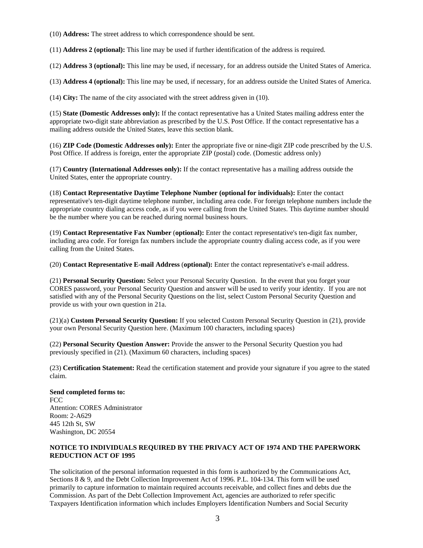(10) **Address:** The street address to which correspondence should be sent.

(11) **Address 2 (optional):** This line may be used if further identification of the address is required.

(12) **Address 3 (optional):** This line may be used, if necessary, for an address outside the United States of America.

(13) **Address 4 (optional):** This line may be used, if necessary, for an address outside the United States of America.

(14) **City:** The name of the city associated with the street address given in (10).

(15) **State (Domestic Addresses only):** If the contact representative has a United States mailing address enter the appropriate two-digit state abbreviation as prescribed by the U.S. Post Office. If the contact representative has a mailing address outside the United States, leave this section blank.

(16) **ZIP Code (Domestic Addresses only):** Enter the appropriate five or nine-digit ZIP code prescribed by the U.S. Post Office. If address is foreign, enter the appropriate ZIP (postal) code. (Domestic address only)

(17) **Country (International Addresses only):** If the contact representative has a mailing address outside the United States, enter the appropriate country.

(18) **Contact Representative Daytime Telephone Number (optional for individuals):** Enter the contact representative's ten-digit daytime telephone number, including area code. For foreign telephone numbers include the appropriate country dialing access code, as if you were calling from the United States. This daytime number should be the number where you can be reached during normal business hours.

(19) **Contact Representative Fax Number** (**optional):** Enter the contact representative's ten-digit fax number, including area code. For foreign fax numbers include the appropriate country dialing access code, as if you were calling from the United States.

(20) **Contact Representative E-mail Address** (**optional):** Enter the contact representative's e-mail address.

(21) **Personal Security Question:** Select your Personal Security Question. In the event that you forget your CORES password, your Personal Security Question and answer will be used to verify your identity. If you are not satisfied with any of the Personal Security Questions on the list, select Custom Personal Security Question and provide us with your own question in 21a.

(21)(a) **Custom Personal Security Question:** If you selected Custom Personal Security Question in (21), provide your own Personal Security Question here. (Maximum 100 characters, including spaces)

(22) **Personal Security Question Answer:** Provide the answer to the Personal Security Question you had previously specified in (21). (Maximum 60 characters, including spaces)

(23) **Certification Statement:** Read the certification statement and provide your signature if you agree to the stated claim.

**Send completed forms to:**  FCC Attention: CORES Administrator Room: 2-A629 445 12th St, SW Washington, DC 20554

## **NOTICE TO INDIVIDUALS REQUIRED BY THE PRIVACY ACT OF 1974 AND THE PAPERWORK REDUCTION ACT OF 1995**

The solicitation of the personal information requested in this form is authorized by the Communications Act, Sections 8 & 9, and the Debt Collection Improvement Act of 1996. P.L. 104-134. This form will be used primarily to capture information to maintain required accounts receivable, and collect fines and debts due the Commission. As part of the Debt Collection Improvement Act, agencies are authorized to refer specific Taxpayers Identification information which includes Employers Identification Numbers and Social Security